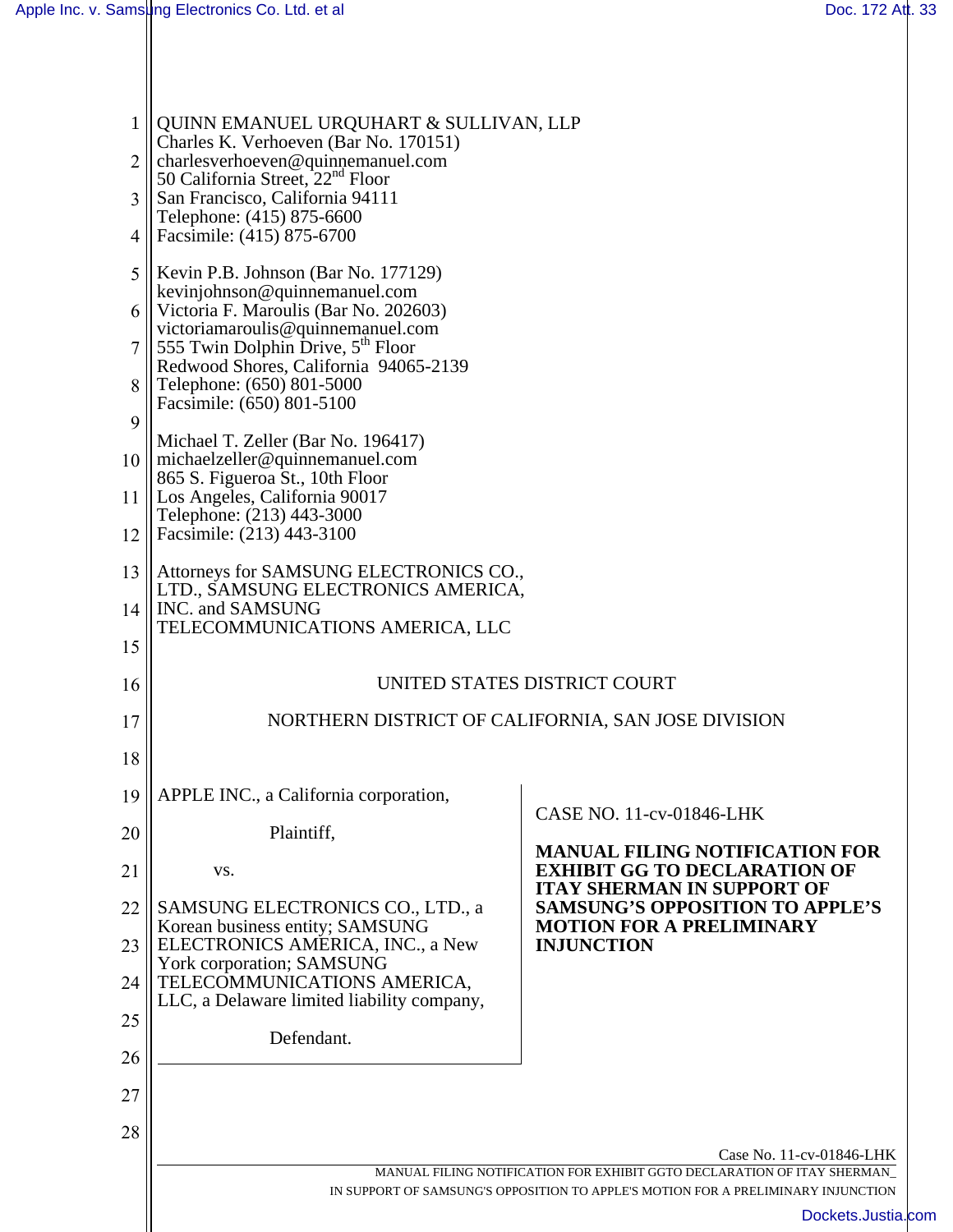| 1              | QUINN EMANUEL URQUHART & SULLIVAN, LLP<br>Charles K. Verhoeven (Bar No. 170151)                                                                              |                                                                                                                   |  |
|----------------|--------------------------------------------------------------------------------------------------------------------------------------------------------------|-------------------------------------------------------------------------------------------------------------------|--|
| $\overline{2}$ | charlesverhoeven@quinnemanuel.com<br>50 California Street, 22 <sup>nd</sup> Floor                                                                            |                                                                                                                   |  |
| 3              | San Francisco, California 94111<br>Telephone: (415) 875-6600                                                                                                 |                                                                                                                   |  |
| 4              | Facsimile: (415) 875-6700                                                                                                                                    |                                                                                                                   |  |
| 5              | Kevin P.B. Johnson (Bar No. 177129)<br>$\kappa$ kevinjohnson@quinnemanuel.com                                                                                |                                                                                                                   |  |
| 6              | Victoria F. Maroulis (Bar No. 202603)                                                                                                                        |                                                                                                                   |  |
| 7              | victoriamaroulis@quinnemanuel.com<br>555 Twin Dolphin Drive, 5 <sup>th</sup> Floor                                                                           |                                                                                                                   |  |
| 8              | Redwood Shores, California 94065-2139<br>Telephone: (650) 801-5000                                                                                           |                                                                                                                   |  |
| 9              | Facsimile: (650) 801-5100                                                                                                                                    |                                                                                                                   |  |
| 10             | Michael T. Zeller (Bar No. 196417)<br>michaelzeller@quinnemanuel.com<br>865 S. Figueroa St., 10th Floor                                                      |                                                                                                                   |  |
| 11             | Los Angeles, California 90017<br>Telephone: (213) 443-3000                                                                                                   |                                                                                                                   |  |
| 12             | Facsimile: (213) 443-3100                                                                                                                                    |                                                                                                                   |  |
| 13             | Attorneys for SAMSUNG ELECTRONICS CO.,<br>LTD., SAMSUNG ELECTRONICS AMERICA,                                                                                 |                                                                                                                   |  |
| 14             | INC. and SAMSUNG                                                                                                                                             |                                                                                                                   |  |
| 15             | TELECOMMUNICATIONS AMERICA, LLC                                                                                                                              |                                                                                                                   |  |
| 16             | UNITED STATES DISTRICT COURT                                                                                                                                 |                                                                                                                   |  |
| 17             | NORTHERN DISTRICT OF CALIFORNIA, SAN JOSE DIVISION                                                                                                           |                                                                                                                   |  |
| 18             |                                                                                                                                                              |                                                                                                                   |  |
| 19             | APPLE INC., a California corporation,                                                                                                                        | CASE NO. 11-cv-01846-LHK                                                                                          |  |
| 20             | Plaintiff,                                                                                                                                                   |                                                                                                                   |  |
| 21             | VS.                                                                                                                                                          | <b>MANUAL FILING NOTIFICATION FOR</b><br><b>EXHIBIT GG TO DECLARATION OF</b><br><b>ITAY SHERMAN IN SUPPORT OF</b> |  |
| 22<br>23       | SAMSUNG ELECTRONICS CO., LTD., a<br>Korean business entity; SAMSUNG<br>ELECTRONICS AMERICA, INC., a New                                                      | <b>SAMSUNG'S OPPOSITION TO APPLE'S</b><br><b>MOTION FOR A PRELIMINARY</b><br><b>INJUNCTION</b>                    |  |
| 24             | York corporation; SAMSUNG<br>TELECOMMUNICATIONS AMERICA,                                                                                                     |                                                                                                                   |  |
| 25             | LLC, a Delaware limited liability company,                                                                                                                   |                                                                                                                   |  |
|                | Defendant.                                                                                                                                                   |                                                                                                                   |  |
| 26             |                                                                                                                                                              |                                                                                                                   |  |
| 27             |                                                                                                                                                              |                                                                                                                   |  |
| 28             |                                                                                                                                                              | Case No. 11-cv-01846-LHK                                                                                          |  |
|                | MANUAL FILING NOTIFICATION FOR EXHIBIT GGTO DECLARATION OF ITAY SHERMAN<br>IN SUPPORT OF SAMSUNG'S OPPOSITION TO APPLE'S MOTION FOR A PRELIMINARY INJUNCTION |                                                                                                                   |  |
|                |                                                                                                                                                              | Dockets.Justia.com                                                                                                |  |